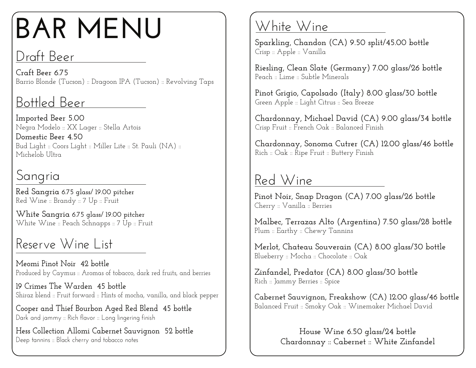# **BAR MENU**

### Draft Beer

**Craft Beer 6.75** Barrio Blonde (Tucson) :: Dragoon IPA (Tucson) :: Revolving Taps

# Bottled Beer

**Imported Beer 5.00** Negra Modelo :: XX Lager :: Stella Artois

**Domestic Beer 4.50** Bud Light :: Coors Light :: Miller Lite :: St. Pauli (NA) :: Michelob Ultra

# Sangria

**Red Sangria 6.75 glass/ 19.00 pitcher** Red Wine :: Brandy :: 7 Up :: Fruit

**White Sangria 6.75 glass/ 19.00 pitcher** White Wine :: Peach Schnapps :: 7 Up :: Fruit

## Reserve Wine List

**Meomi Pinot Noir 42 bottle** Produced by Caymus :: Aromas of tobacco, dark red fruits, and berries

**19 Crimes The Warden 45 bottle** Shiraz blend :: Fruit forward :: Hints of mocha, vanilla, and black pepper

**Cooper and Thief Bourbon Aged Red Blend 45 bottle** Dark and jammy :: Rich flavor :: Long lingering finish

**Hess Collection Allomi Cabernet Sauvignon 52 bottle** Deep tannins :: Black cherry and tobacco notes

## White Wine

**Sparkling, Chandon (CA) 9.50 split/45.00 bottle** Crisp :: Apple :: Vanilla

**Riesling, Clean Slate (Germany) 7.00 glass/26 bottle** Peach :: Lime :: Subtle Minerals

**Pinot Grigio, Capolsado (Italy) 8.00 glass/30 bottle** Green Apple :: Light Citrus :: Sea Breeze

**Chardonnay, Michael David (CA) 9.00 glass/34 bottle** Crisp Fruit :: French Oak :: Balanced Finish

**Chardonnay, Sonoma Cutrer (CA) 12.00 glass/46 bottle** Rich :: Oak :: Ripe Fruit :: Buttery Finish

### Red Wine

**Pinot Noir, Snap Dragon (CA) 7.00 glass/26 bottle** Cherry :: Vanilla :: Berries

**Malbec, Terrazas Alto (Argentina) 7.50 glass/28 bottle** Plum :: Earthy :: Chewy Tannins

**Merlot, Chateau Souverain (CA) 8.00 glass/30 bottle** Blueberry :: Mocha :: Chocolate :: Oak

**Zinfandel, Predator (CA) 8.00 glass/30 bottle** Rich :: Jammy Berries :: Spice

**Cabernet Sauvignon, Freakshow (CA) 12.00 glass/46 bottle** Balanced Fruit :: Smoky Oak :: Winemaker Michael David

> **House Wine 6.50 glass/24 bottle Chardonnay :: Cabernet :: White Zinfandel**